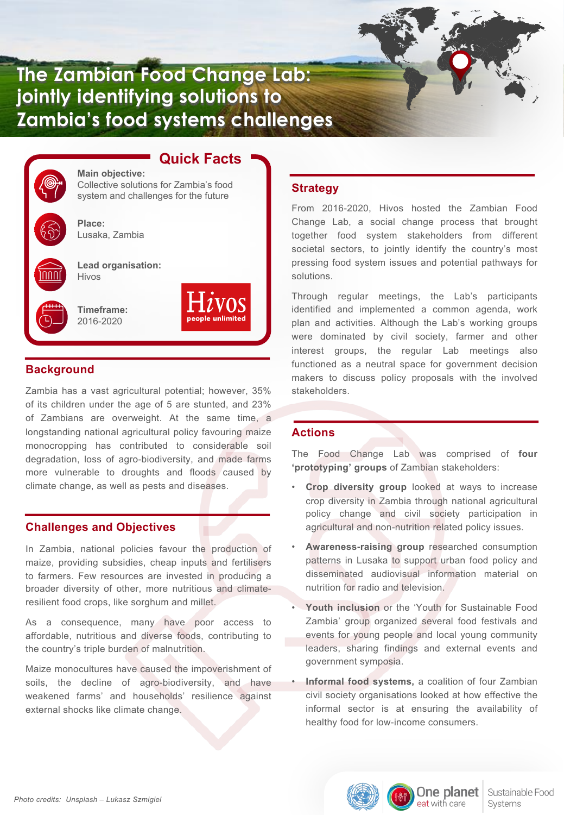

# **Quick Facts**

**Main objective:** Collective solutions for Zambia's food system and challenges for the future



**Place:** Lusaka, Zambia

**Lead organisation:** Hivos

**Timeframe:** 2016-2020

## **Background**

Zambia has a vast agricultural potential; however, 35% of its children under the age of 5 are stunted, and 23% of Zambians are overweight. At the same time, a longstanding national agricultural policy favouring maize monocropping has contributed to considerable soil degradation, loss of agro-biodiversity, and made farms more vulnerable to droughts and floods caused by climate change, as well as pests and diseases.

## **Challenges and Objectives**

In Zambia, national policies favour the production of maize, providing subsidies, cheap inputs and fertilisers to farmers. Few resources are invested in producing a broader diversity of other, more nutritious and climateresilient food crops, like sorghum and millet.

As a consequence, many have poor access to affordable, nutritious and diverse foods, contributing to the country's triple burden of malnutrition.

Maize monocultures have caused the impoverishment of soils, the decline of agro-biodiversity, and have weakened farms' and households' resilience against external shocks like climate change.

### **Strategy**

From 2016-2020, Hivos hosted the Zambian Food Change Lab, a social change process that brought together food system stakeholders from different societal sectors, to jointly identify the country's most pressing food system issues and potential pathways for solutions.

Through regular meetings, the Lab's participants identified and implemented a common agenda, work plan and activities. Although the Lab's working groups were dominated by civil society, farmer and other interest groups, the regular Lab meetings also functioned as a neutral space for government decision makers to discuss policy proposals with the involved stakeholders.

# **Actions**

The Food Change Lab was comprised of **four 'prototyping' groups** of Zambian stakeholders:

- **Crop diversity group** looked at ways to increase crop diversity in Zambia through national agricultural policy change and civil society participation in agricultural and non-nutrition related policy issues.
- **Awareness-raising group** researched consumption patterns in Lusaka to support urban food policy and disseminated audiovisual information material on nutrition for radio and television.
- **Youth inclusion** or the 'Youth for Sustainable Food Zambia' group organized several food festivals and events for young people and local young community leaders, sharing findings and external events and government symposia.
- **Informal food systems,** a coalition of four Zambian civil society organisations looked at how effective the informal sector is at ensuring the availability of healthy food for low-income consumers.

One planet

eat with care